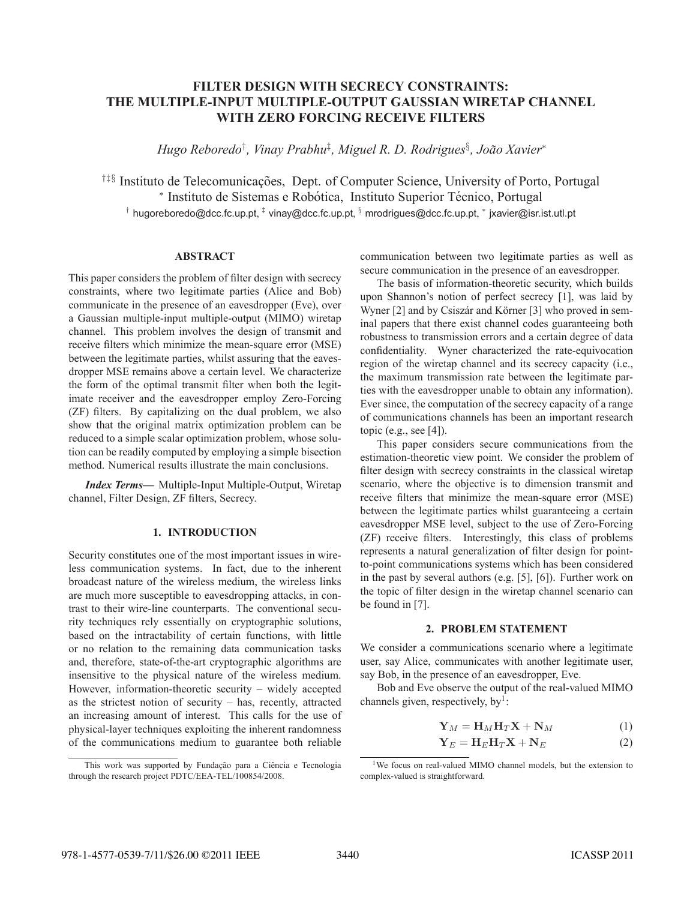# **FILTER DESIGN WITH SECRECY CONSTRAINTS: THE MULTIPLE-INPUT MULTIPLE-OUTPUT GAUSSIAN WIRETAP CHANNEL WITH ZERO FORCING RECEIVE FILTERS**

*Hugo Reboredo*† *, Vinay Prabhu*‡ *, Miguel R. D. Rodrigues*§ *, Joao Xavier ˜* <sup>∗</sup>

<sup>†‡§</sup> Instituto de Telecomunicações, Dept. of Computer Science, University of Porto, Portugal  $*$  Instituto de Sistemas e Robótica, Instituto Superior Técnico, Portugal † hugoreboredo@dcc.fc.up.pt, ‡ vinay@dcc.fc.up.pt, § mrodrigues@dcc.fc.up.pt, <sup>∗</sup> jxavier@isr.ist.utl.pt

# **ABSTRACT**

This paper considers the problem of filter design with secrecy constraints, where two legitimate parties (Alice and Bob) communicate in the presence of an eavesdropper (Eve), over a Gaussian multiple-input multiple-output (MIMO) wiretap channel. This problem involves the design of transmit and receive filters which minimize the mean-square error (MSE) between the legitimate parties, whilst assuring that the eavesdropper MSE remains above a certain level. We characterize the form of the optimal transmit filter when both the legitimate receiver and the eavesdropper employ Zero-Forcing  $(ZF)$  filters. By capitalizing on the dual problem, we also show that the original matrix optimization problem can be reduced to a simple scalar optimization problem, whose solution can be readily computed by employing a simple bisection method. Numerical results illustrate the main conclusions.

*Index Terms***—** Multiple-Input Multiple-Output, Wiretap channel, Filter Design, ZF filters, Secrecy.

## **1. INTRODUCTION**

Security constitutes one of the most important issues in wireless communication systems. In fact, due to the inherent broadcast nature of the wireless medium, the wireless links are much more susceptible to eavesdropping attacks, in contrast to their wire-line counterparts. The conventional security techniques rely essentially on cryptographic solutions, based on the intractability of certain functions, with little or no relation to the remaining data communication tasks and, therefore, state-of-the-art cryptographic algorithms are insensitive to the physical nature of the wireless medium. However, information-theoretic security – widely accepted as the strictest notion of security – has, recently, attracted an increasing amount of interest. This calls for the use of physical-layer techniques exploiting the inherent randomness of the communications medium to guarantee both reliable

communication between two legitimate parties as well as secure communication in the presence of an eavesdropper.

The basis of information-theoretic security, which builds upon Shannon's notion of perfect secrecy [1], was laid by Wyner [2] and by Csiszár and Körner [3] who proved in seminal papers that there exist channel codes guaranteeing both robustness to transmission errors and a certain degree of data confidentiality. Wyner characterized the rate-equivocation region of the wiretap channel and its secrecy capacity (i.e., the maximum transmission rate between the legitimate parties with the eavesdropper unable to obtain any information). Ever since, the computation of the secrecy capacity of a range of communications channels has been an important research topic (e.g., see [4]).

This paper considers secure communications from the estimation-theoretic view point. We consider the problem of filter design with secrecy constraints in the classical wiretap scenario, where the objective is to dimension transmit and receive filters that minimize the mean-square error (MSE) between the legitimate parties whilst guaranteeing a certain eavesdropper MSE level, subject to the use of Zero-Forcing (ZF) receive filters. Interestingly, this class of problems represents a natural generalization of filter design for pointto-point communications systems which has been considered in the past by several authors (e.g. [5], [6]). Further work on the topic of filter design in the wiretap channel scenario can be found in [7].

#### **2. PROBLEM STATEMENT**

We consider a communications scenario where a legitimate user, say Alice, communicates with another legitimate user, say Bob, in the presence of an eavesdropper, Eve.

Bob and Eve observe the output of the real-valued MIMO channels given, respectively,  $by^1$ :

$$
\mathbf{Y}_M = \mathbf{H}_M \mathbf{H}_T \mathbf{X} + \mathbf{N}_M \tag{1}
$$

$$
\mathbf{Y}_E = \mathbf{H}_E \mathbf{H}_T \mathbf{X} + \mathbf{N}_E \tag{2}
$$

This work was supported by Fundação para a Ciência e Tecnologia through the research project PDTC/EEA-TEL/100854/2008.

<sup>&</sup>lt;sup>1</sup>We focus on real-valued MIMO channel models, but the extension to complex-valued is straightforward.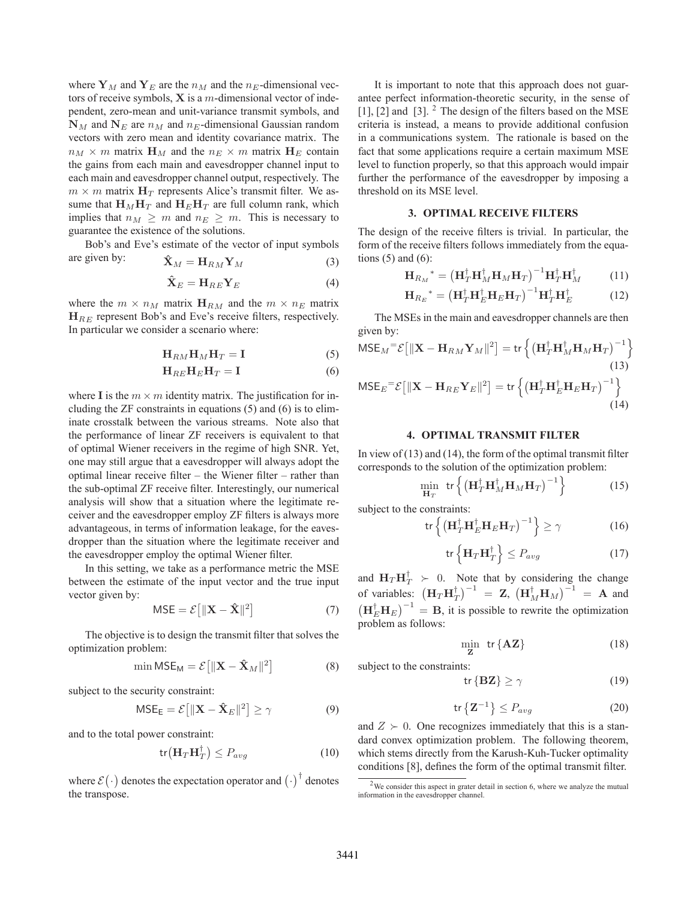where  $Y_M$  and  $Y_E$  are the  $n_M$  and the  $n_E$ -dimensional vectors of receive symbols, **X** is a m-dimensional vector of independent, zero-mean and unit-variance transmit symbols, and  $N_M$  and  $N_E$  are  $n_M$  and  $n_E$ -dimensional Gaussian random vectors with zero mean and identity covariance matrix. The  $n_M \times m$  matrix  $\mathbf{H}_M$  and the  $n_E \times m$  matrix  $\mathbf{H}_E$  contain the gains from each main and eavesdropper channel input to each main and eavesdropper channel output, respectively. The  $m \times m$  matrix  $\mathbf{H}_T$  represents Alice's transmit filter. We assume that  $H_M H_T$  and  $H_E H_T$  are full column rank, which implies that  $n_M \geq m$  and  $n_E \geq m$ . This is necessary to guarantee the existence of the solutions.

Bob's and Eve's estimate of the vector of input symbols are given by:  $\hat{\mathbf{X}}_M = \mathbf{H}_{BM} \mathbf{Y}_M$  (3)

$$
\hat{\mathbf{X}}_E = \mathbf{H}_{RE} \mathbf{Y}_E
$$
 (4)

where the 
$$
m \times n_M
$$
 matrix  $\mathbf{H}_{RM}$  and the  $m \times n_E$  matrix  $\mathbf{H}_{RE}$  represent Bob's and Eve's receive filters, respectively. In particular we consider a scenario where:

$$
\mathbf{H}_{RM}\mathbf{H}_M\mathbf{H}_T = \mathbf{I} \tag{5}
$$

$$
\mathbf{H}_{RE}\mathbf{H}_E\mathbf{H}_T = \mathbf{I} \tag{6}
$$

where **I** is the  $m \times m$  identity matrix. The justification for including the ZF constraints in equations (5) and (6) is to eliminate crosstalk between the various streams. Note also that the performance of linear ZF receivers is equivalent to that of optimal Wiener receivers in the regime of high SNR. Yet, one may still argue that a eavesdropper will always adopt the optimal linear receive filter – the Wiener filter – rather than the sub-optimal ZF receive filter. Interestingly, our numerical analysis will show that a situation where the legitimate receiver and the eavesdropper employ ZF filters is always more advantageous, in terms of information leakage, for the eavesdropper than the situation where the legitimate receiver and the eavesdropper employ the optimal Wiener filter.

In this setting, we take as a performance metric the MSE between the estimate of the input vector and the true input vector given by:

$$
MSE = \mathcal{E}\left[\|\mathbf{X} - \hat{\mathbf{X}}\|^2\right] \tag{7}
$$

The objective is to design the transmit filter that solves the optimization problem:

$$
\min \text{MSE}_M = \mathcal{E}\left[ \|\mathbf{X} - \hat{\mathbf{X}}_M\|^2 \right] \tag{8}
$$

subject to the security constraint:

$$
MSE_E = \mathcal{E}\left[\|\mathbf{X} - \hat{\mathbf{X}}_E\|^2\right] \ge \gamma \tag{9}
$$

and to the total power constraint:

$$
\operatorname{tr}\left(\mathbf{H}_T\mathbf{H}_T^{\dagger}\right) \le P_{avg} \tag{10}
$$

where  $\mathcal{E}(\cdot)$  denotes the expectation operator and  $(\cdot)^{\dagger}$  denotes the transpose.

It is important to note that this approach does not guarantee perfect information-theoretic security, in the sense of [1], [2] and [3].  $2$  The design of the filters based on the MSE criteria is instead, a means to provide additional confusion in a communications system. The rationale is based on the fact that some applications require a certain maximum MSE level to function properly, so that this approach would impair further the performance of the eavesdropper by imposing a threshold on its MSE level.

## **3. OPTIMAL RECEIVE FILTERS**

The design of the receive filters is trivial. In particular, the form of the receive filters follows immediately from the equations  $(5)$  and  $(6)$ :

$$
\mathbf{H}_{R_M}^* = \left(\mathbf{H}_T^\dagger \mathbf{H}_M^\dagger \mathbf{H}_M \mathbf{H}_T\right)^{-1} \mathbf{H}_T^\dagger \mathbf{H}_M^\dagger \tag{11}
$$

$$
\mathbf{H}_{R_E}^{\ \ *} = \left(\mathbf{H}_T^\dagger \mathbf{H}_E^\dagger \mathbf{H}_E \mathbf{H}_T\right)^{-1} \mathbf{H}_T^\dagger \mathbf{H}_E^\dagger \tag{12}
$$

The MSEs in the main and eavesdropper channels are then given by:

$$
MSE_M = \mathcal{E} \left[ \|\mathbf{X} - \mathbf{H}_{RM} \mathbf{Y}_M\|^2 \right] = \text{tr} \left\{ \left( \mathbf{H}_T^\dagger \mathbf{H}_M^\dagger \mathbf{H}_M \mathbf{H}_T \right)^{-1} \right\}
$$
(13)

$$
MSE_E = \mathcal{E}\left[\|\mathbf{X} - \mathbf{H}_{RE}\mathbf{Y}_E\|^2\right] = \text{tr}\left\{\left(\mathbf{H}_T^\dagger \mathbf{H}_E^\dagger \mathbf{H}_E \mathbf{H}_T\right)^{-1}\right\}
$$
(14)

#### **4. OPTIMAL TRANSMIT FILTER**

In view of  $(13)$  and  $(14)$ , the form of the optimal transmit filter corresponds to the solution of the optimization problem:

$$
\min_{\mathbf{H}_T} \; \text{tr}\left\{ \left( \mathbf{H}_T^{\dagger} \mathbf{H}_M^{\dagger} \mathbf{H}_M \mathbf{H}_T \right)^{-1} \right\} \tag{15}
$$

subject to the constraints:

$$
\operatorname{tr}\left\{ \left( \mathbf{H}_{T}^{\dagger} \mathbf{H}_{E}^{\dagger} \mathbf{H}_{E} \mathbf{H}_{T} \right)^{-1} \right\} \geq \gamma \tag{16}
$$

$$
\operatorname{tr}\left\{\mathbf{H}_T\mathbf{H}_T^{\dagger}\right\} \le P_{avg} \tag{17}
$$

and  $H_T H_T^{\dagger} > 0$ . Note that by considering the change of variables:  $\left(\mathbf{H}_T \mathbf{H}_T^{\dagger}\right)^{-1} = \mathbf{Z}, \left(\mathbf{H}_M^{\dagger} \mathbf{H}_M\right)^{-1} = \mathbf{A}$  and  $(\mathbf{H}_{E}^{\dagger} \mathbf{H}_{E})^{-1} = \mathbf{B}$ , it is possible to rewrite the optimization problem as follows:

$$
\min_{\mathbf{Z}} \ \text{tr}\{\mathbf{AZ}\} \tag{18}
$$

subject to the constraints:

$$
\mathsf{tr}\left\{\mathbf{BZ}\right\} \geq \gamma\tag{19}
$$

$$
\operatorname{tr}\left\{ \mathbf{Z}^{-1}\right\} \leq P_{avg} \tag{20}
$$

and  $Z \succ 0$ . One recognizes immediately that this is a standard convex optimization problem. The following theorem, which stems directly from the Karush-Kuh-Tucker optimality conditions  $[8]$ , defines the form of the optimal transmit filter.

 $2$ We consider this aspect in grater detail in section 6, where we analyze the mutual information in the eavesdropper channel.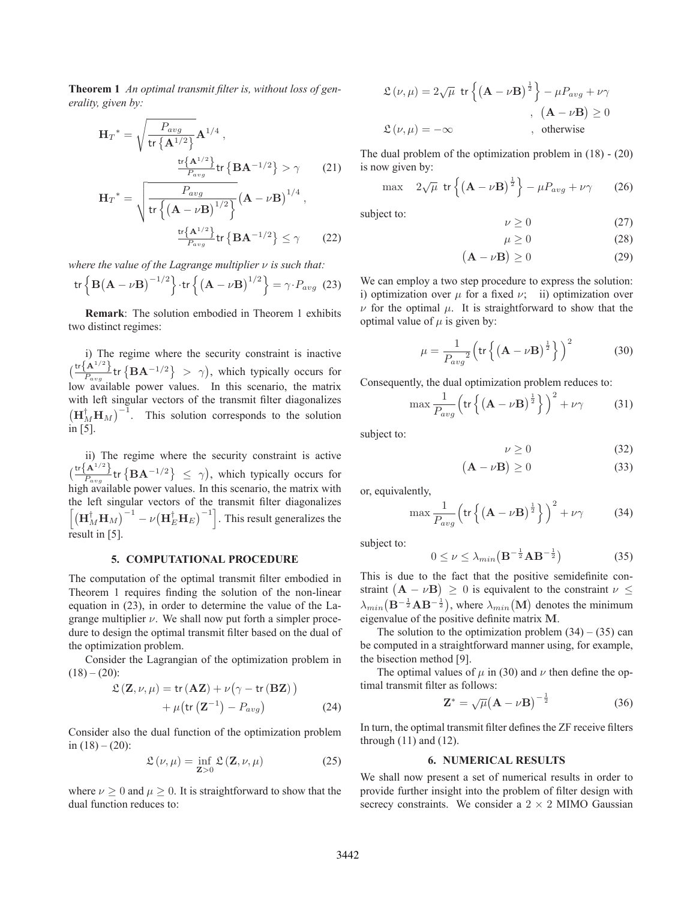**Theorem 1** *An optimal transmit filter is, without loss of generality, given by:*

$$
\mathbf{H}_T^* = \sqrt{\frac{P_{avg}}{\text{tr}\left\{\mathbf{A}^{1/2}\right\}}}\mathbf{A}^{1/4},
$$
\n
$$
\frac{\text{tr}\left\{\mathbf{A}^{1/2}\right\}}{P_{avg}}\text{tr}\left\{\mathbf{B}\mathbf{A}^{-1/2}\right\} > \gamma \qquad (21)
$$

$$
\mathbf{H}_T^* = \sqrt{\frac{P_{avg}}{\text{tr}\left\{ (\mathbf{A} - \nu \mathbf{B})^{1/2} \right\}} (\mathbf{A} - \nu \mathbf{B})^{1/4} ,
$$

$$
\frac{\text{tr}\left\{ \mathbf{A}^{1/2} \right\}}{P_{avg}} \text{tr}\left\{ \mathbf{B} \mathbf{A}^{-1/2} \right\} \leq \gamma \qquad (22)
$$

*where the value of the Lagrange multiplier ν is such that:* 

$$
\operatorname{tr}\left\{\mathbf{B}\left(\mathbf{A}-\nu\mathbf{B}\right)^{-1/2}\right\}\cdot\operatorname{tr}\left\{\left(\mathbf{A}-\nu\mathbf{B}\right)^{1/2}\right\}=\gamma\cdot P_{avg}\tag{23}
$$

**Remark**: The solution embodied in Theorem 1 exhibits two distinct regimes:

i) The regime where the security constraint is inactive  $\left(\frac{\text{tr}\left\{A^{1/2}\right\}}{P_{avg}}\text{tr}\left\{BA^{-1/2}\right\} > \gamma\right)$ , which typically occurs for low available power values. In this scenario, the matrix with left singular vectors of the transmit filter diagonalizes  $\left(\mathbf{H}_{M}^{\dagger}\mathbf{H}_{M}\right)^{-1}$ . This solution corresponds to the solution in [5].

ii) The regime where the security constraint is active  $\left(\frac{\text{tr}\left\{A^{1/2}\right\}}{P_{avg}}\text{tr}\left\{BA^{-1/2}\right\}\right) \leq \gamma$ , which typically occurs for high available power values. In this scenario, the matrix with the left singular vectors of the transmit filter diagonalizes  $\left[\left(\mathbf{H}_M^{\dagger} \mathbf{H}_M\right)^{-1} - \nu \left(\mathbf{H}_E^{\dagger} \mathbf{H}_E\right)^{-1}\right]$ . This result generalizes the result in [5].

#### **5. COMPUTATIONAL PROCEDURE**

The computation of the optimal transmit filter embodied in Theorem 1 requires finding the solution of the non-linear equation in (23), in order to determine the value of the Lagrange multiplier  $\nu$ . We shall now put forth a simpler procedure to design the optimal transmit filter based on the dual of the optimization problem.

Consider the Lagrangian of the optimization problem in  $(18) - (20)$ :

$$
\mathfrak{L}(\mathbf{Z}, \nu, \mu) = \text{tr}(\mathbf{AZ}) + \nu(\gamma - \text{tr}(\mathbf{BZ})) + \mu(\text{tr}(\mathbf{Z}^{-1}) - P_{avg})
$$
(24)

Consider also the dual function of the optimization problem in  $(18) - (20)$ :

$$
\mathfrak{L}\left(\nu,\mu\right) = \inf_{\mathbf{Z}>0} \mathfrak{L}\left(\mathbf{Z},\nu,\mu\right) \tag{25}
$$

where  $\nu \geq 0$  and  $\mu \geq 0$ . It is straightforward to show that the dual function reduces to:

$$
\mathfrak{L}(\nu,\mu) = 2\sqrt{\mu} \text{ tr } \left\{ \left( \mathbf{A} - \nu \mathbf{B} \right)^{\frac{1}{2}} \right\} - \mu P_{avg} + \nu \gamma
$$
  
, 
$$
\left( \mathbf{A} - \nu \mathbf{B} \right) \ge 0
$$
  
, 
$$
\mathfrak{L}(\nu,\mu) = -\infty
$$
, otherwise

The dual problem of the optimization problem in (18) - (20) is now given by:

$$
\max \quad 2\sqrt{\mu} \text{ tr}\left\{ \left( \mathbf{A} - \nu \mathbf{B} \right)^{\frac{1}{2}} \right\} - \mu P_{avg} + \nu \gamma \qquad (26)
$$

subject to:  $v \ge 0$  (27)  $\mu \geq 0$  (28)

$$
(\mathbf{A} - \nu \mathbf{B}) \ge 0 \tag{29}
$$

We can employ a two step procedure to express the solution: i) optimization over  $\mu$  for a fixed  $\nu$ ; ii) optimization over  $\nu$  for the optimal  $\mu$ . It is straightforward to show that the optimal value of  $\mu$  is given by:

$$
\mu = \frac{1}{P_{avg}^2} \left( \text{tr} \left\{ \left( \mathbf{A} - \nu \mathbf{B} \right)^{\frac{1}{2}} \right\} \right)^2 \tag{30}
$$

Consequently, the dual optimization problem reduces to:

$$
\max \frac{1}{P_{avg}} \left( \text{tr} \left\{ \left( \mathbf{A} - \nu \mathbf{B} \right)^{\frac{1}{2}} \right\} \right)^2 + \nu \gamma \tag{31}
$$

subject to:

$$
\nu \ge 0 \tag{32}
$$

$$
(\mathbf{A} - \nu \mathbf{B}) \ge 0 \tag{33}
$$

or, equivalently,

$$
\max \frac{1}{P_{avg}} \left( \text{tr} \left\{ \left( \mathbf{A} - \nu \mathbf{B} \right)^{\frac{1}{2}} \right\} \right)^2 + \nu \gamma \tag{34}
$$

subject to:

$$
0 \le \nu \le \lambda_{min} \left( \mathbf{B}^{-\frac{1}{2}} \mathbf{A} \mathbf{B}^{-\frac{1}{2}} \right) \tag{35}
$$

This is due to the fact that the positive semidefinite constraint  $(A - \nu B) \ge 0$  is equivalent to the constraint  $\nu \le$  $\lambda_{min}(\mathbf{B}^{-\frac{1}{2}}\mathbf{A}\mathbf{B}^{-\frac{1}{2}})$ , where  $\lambda_{min}(\mathbf{M})$  denotes the minimum eigenvalue of the positive definite matrix M.

The solution to the optimization problem  $(34) - (35)$  can be computed in a straightforward manner using, for example, the bisection method [9].

The optimal values of  $\mu$  in (30) and  $\nu$  then define the optimal transmit filter as follows:

$$
\mathbf{Z}^* = \sqrt{\mu} \big( \mathbf{A} - \nu \mathbf{B} \big)^{-\frac{1}{2}} \tag{36}
$$

In turn, the optimal transmit filter defines the ZF receive filters through  $(11)$  and  $(12)$ .

#### **6. NUMERICAL RESULTS**

We shall now present a set of numerical results in order to provide further insight into the problem of filter design with secrecy constraints. We consider a  $2 \times 2$  MIMO Gaussian